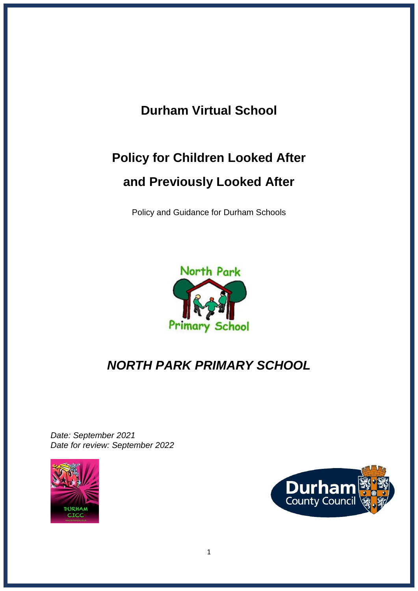# **Durham Virtual School**

# **Policy for Children Looked After and Previously Looked After**

Policy and Guidance for Durham Schools



# *NORTH PARK PRIMARY SCHOOL*

*Date: September 2021 Date for review: September 2022*



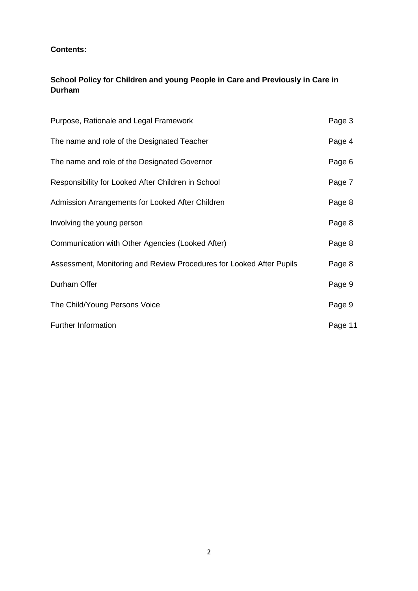# **Contents:**

# **School Policy for Children and young People in Care and Previously in Care in Durham**

| Purpose, Rationale and Legal Framework                               | Page 3  |
|----------------------------------------------------------------------|---------|
| The name and role of the Designated Teacher                          | Page 4  |
| The name and role of the Designated Governor                         | Page 6  |
| Responsibility for Looked After Children in School                   | Page 7  |
| Admission Arrangements for Looked After Children                     | Page 8  |
| Involving the young person                                           | Page 8  |
| Communication with Other Agencies (Looked After)                     | Page 8  |
| Assessment, Monitoring and Review Procedures for Looked After Pupils | Page 8  |
| Durham Offer                                                         | Page 9  |
| The Child/Young Persons Voice                                        | Page 9  |
| <b>Further Information</b>                                           | Page 11 |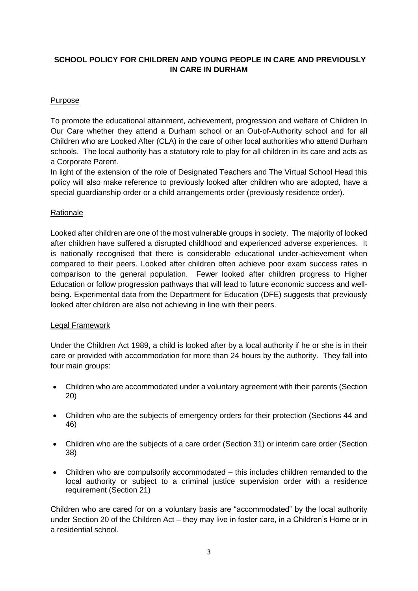# **SCHOOL POLICY FOR CHILDREN AND YOUNG PEOPLE IN CARE AND PREVIOUSLY IN CARE IN DURHAM**

# Purpose

To promote the educational attainment, achievement, progression and welfare of Children In Our Care whether they attend a Durham school or an Out-of-Authority school and for all Children who are Looked After (CLA) in the care of other local authorities who attend Durham schools. The local authority has a statutory role to play for all children in its care and acts as a Corporate Parent.

In light of the extension of the role of Designated Teachers and The Virtual School Head this policy will also make reference to previously looked after children who are adopted, have a special guardianship order or a child arrangements order (previously residence order).

#### Rationale

Looked after children are one of the most vulnerable groups in society. The majority of looked after children have suffered a disrupted childhood and experienced adverse experiences. It is nationally recognised that there is considerable educational under-achievement when compared to their peers. Looked after children often achieve poor exam success rates in comparison to the general population. Fewer looked after children progress to Higher Education or follow progression pathways that will lead to future economic success and wellbeing. Experimental data from the Department for Education (DFE) suggests that previously looked after children are also not achieving in line with their peers.

#### Legal Framework

Under the Children Act 1989, a child is looked after by a local authority if he or she is in their care or provided with accommodation for more than 24 hours by the authority. They fall into four main groups:

- Children who are accommodated under a voluntary agreement with their parents (Section 20)
- Children who are the subiects of emergency orders for their protection (Sections 44 and 46)
- Children who are the subjects of a care order (Section 31) or interim care order (Section 38)
- Children who are compulsorily accommodated this includes children remanded to the local authority or subject to a criminal justice supervision order with a residence requirement (Section 21)

Children who are cared for on a voluntary basis are "accommodated" by the local authority under Section 20 of the Children Act – they may live in foster care, in a Children's Home or in a residential school.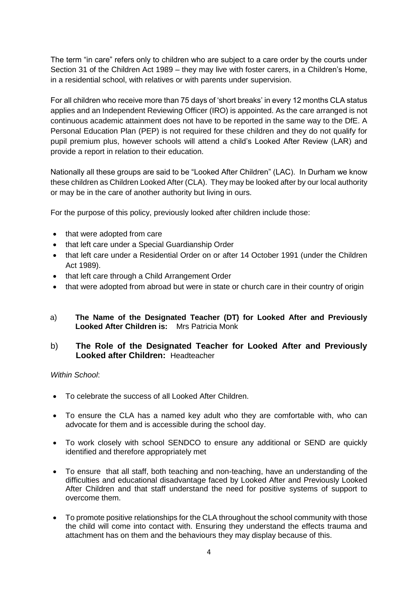The term "in care" refers only to children who are subject to a care order by the courts under Section 31 of the Children Act 1989 – they may live with foster carers, in a Children's Home, in a residential school, with relatives or with parents under supervision.

For all children who receive more than 75 days of 'short breaks' in every 12 months CLA status applies and an Independent Reviewing Officer (IRO) is appointed. As the care arranged is not continuous academic attainment does not have to be reported in the same way to the DfE. A Personal Education Plan (PEP) is not required for these children and they do not qualify for pupil premium plus, however schools will attend a child's Looked After Review (LAR) and provide a report in relation to their education.

Nationally all these groups are said to be "Looked After Children" (LAC). In Durham we know these children as Children Looked After (CLA). They may be looked after by our local authority or may be in the care of another authority but living in ours.

For the purpose of this policy, previously looked after children include those:

- that were adopted from care
- that left care under a Special Guardianship Order
- that left care under a Residential Order on or after 14 October 1991 (under the Children Act 1989).
- that left care through a Child Arrangement Order
- that were adopted from abroad but were in state or church care in their country of origin
- a) **The Name of the Designated Teacher (DT) for Looked After and Previously Looked After Children is:** Mrs Patricia Monk

#### b) **The Role of the Designated Teacher for Looked After and Previously Looked after Children:** Headteacher

#### *Within School*:

- To celebrate the success of all Looked After Children.
- To ensure the CLA has a named key adult who they are comfortable with, who can advocate for them and is accessible during the school day.
- To work closely with school SENDCO to ensure any additional or SEND are quickly identified and therefore appropriately met
- To ensure that all staff, both teaching and non-teaching, have an understanding of the difficulties and educational disadvantage faced by Looked After and Previously Looked After Children and that staff understand the need for positive systems of support to overcome them.
- To promote positive relationships for the CLA throughout the school community with those the child will come into contact with. Ensuring they understand the effects trauma and attachment has on them and the behaviours they may display because of this.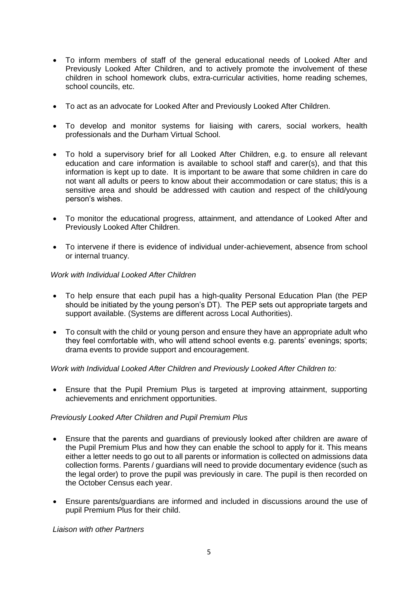- To inform members of staff of the general educational needs of Looked After and Previously Looked After Children, and to actively promote the involvement of these children in school homework clubs, extra-curricular activities, home reading schemes, school councils, etc.
- To act as an advocate for Looked After and Previously Looked After Children.
- To develop and monitor systems for liaising with carers, social workers, health professionals and the Durham Virtual School.
- To hold a supervisory brief for all Looked After Children, e.g. to ensure all relevant education and care information is available to school staff and carer(s), and that this information is kept up to date. It is important to be aware that some children in care do not want all adults or peers to know about their accommodation or care status; this is a sensitive area and should be addressed with caution and respect of the child/young person's wishes.
- To monitor the educational progress, attainment, and attendance of Looked After and Previously Looked After Children.
- To intervene if there is evidence of individual under-achievement, absence from school or internal truancy.

#### *Work with Individual Looked After Children*

- To help ensure that each pupil has a high-quality Personal Education Plan (the PEP should be initiated by the young person's DT). The PEP sets out appropriate targets and support available. (Systems are different across Local Authorities).
- To consult with the child or young person and ensure they have an appropriate adult who they feel comfortable with, who will attend school events e.g. parents' evenings; sports; drama events to provide support and encouragement.

*Work with Individual Looked After Children and Previously Looked After Children to:*

• Ensure that the Pupil Premium Plus is targeted at improving attainment, supporting achievements and enrichment opportunities.

#### *Previously Looked After Children and Pupil Premium Plus*

- Ensure that the parents and guardians of previously looked after children are aware of the Pupil Premium Plus and how they can enable the school to apply for it. This means either a letter needs to go out to all parents or information is collected on admissions data collection forms. Parents / guardians will need to provide documentary evidence (such as the legal order) to prove the pupil was previously in care. The pupil is then recorded on the October Census each year.
- Ensure parents/guardians are informed and included in discussions around the use of pupil Premium Plus for their child.

*Liaison with other Partners*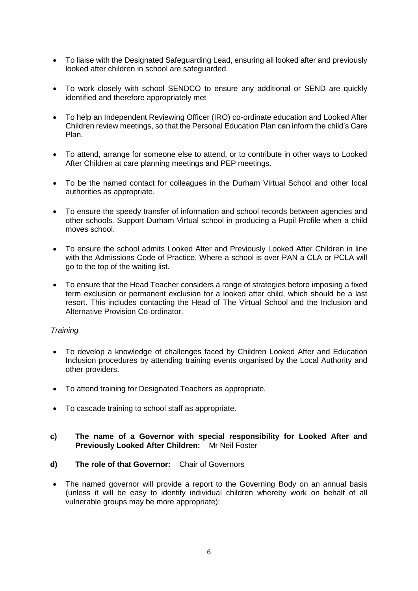- To liaise with the Designated Safeguarding Lead, ensuring all looked after and previously looked after children in school are safeguarded.
- To work closely with school SENDCO to ensure any additional or SEND are quickly identified and therefore appropriately met
- To help an Independent Reviewing Officer (IRO) co-ordinate education and Looked After Children review meetings, so that the Personal Education Plan can inform the child's Care Plan.
- To attend, arrange for someone else to attend, or to contribute in other ways to Looked After Children at care planning meetings and PEP meetings.
- To be the named contact for colleagues in the Durham Virtual School and other local authorities as appropriate.
- To ensure the speedy transfer of information and school records between agencies and other schools. Support Durham Virtual school in producing a Pupil Profile when a child moves school.
- To ensure the school admits Looked After and Previously Looked After Children in line with the Admissions Code of Practice. Where a school is over PAN a CLA or PCLA will go to the top of the waiting list.
- To ensure that the Head Teacher considers a range of strategies before imposing a fixed term exclusion or permanent exclusion for a looked after child, which should be a last resort. This includes contacting the Head of The Virtual School and the Inclusion and Alternative Provision Co-ordinator.

#### *Training*

- To develop a knowledge of challenges faced by Children Looked After and Education Inclusion procedures by attending training events organised by the Local Authority and other providers.
- To attend training for Designated Teachers as appropriate.
- To cascade training to school staff as appropriate.

#### **c) The name of a Governor with special responsibility for Looked After and Previously Looked After Children:** Mr Neil Foster

- **d) The role of that Governor:** Chair of Governors
- The named governor will provide a report to the Governing Body on an annual basis (unless it will be easy to identify individual children whereby work on behalf of all vulnerable groups may be more appropriate):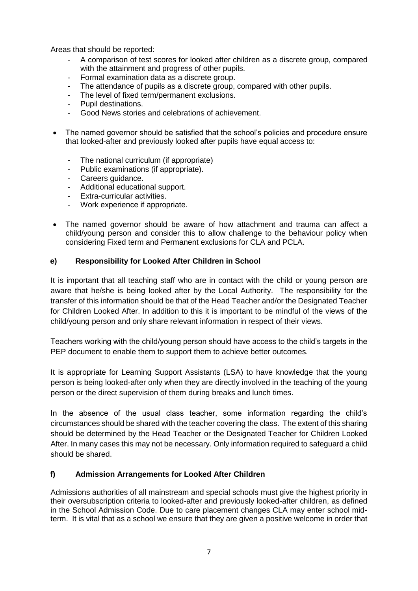Areas that should be reported:

- A comparison of test scores for looked after children as a discrete group, compared with the attainment and progress of other pupils.
- Formal examination data as a discrete group.
- The attendance of pupils as a discrete group, compared with other pupils.
- The level of fixed term/permanent exclusions.
- Pupil destinations.
- Good News stories and celebrations of achievement.
- The named governor should be satisfied that the school's policies and procedure ensure that looked-after and previously looked after pupils have equal access to:
	- The national curriculum (if appropriate)
	- Public examinations (if appropriate).
	- Careers guidance.
	- Additional educational support.
	- Extra-curricular activities.
	- Work experience if appropriate.
- The named governor should be aware of how attachment and trauma can affect a child/young person and consider this to allow challenge to the behaviour policy when considering Fixed term and Permanent exclusions for CLA and PCLA.

#### **e) Responsibility for Looked After Children in School**

It is important that all teaching staff who are in contact with the child or young person are aware that he/she is being looked after by the Local Authority. The responsibility for the transfer of this information should be that of the Head Teacher and/or the Designated Teacher for Children Looked After. In addition to this it is important to be mindful of the views of the child/young person and only share relevant information in respect of their views.

Teachers working with the child/young person should have access to the child's targets in the PEP document to enable them to support them to achieve better outcomes.

It is appropriate for Learning Support Assistants (LSA) to have knowledge that the young person is being looked-after only when they are directly involved in the teaching of the young person or the direct supervision of them during breaks and lunch times.

In the absence of the usual class teacher, some information regarding the child's circumstances should be shared with the teacher covering the class. The extent of this sharing should be determined by the Head Teacher or the Designated Teacher for Children Looked After. In many cases this may not be necessary. Only information required to safeguard a child should be shared.

#### **f) Admission Arrangements for Looked After Children**

Admissions authorities of all mainstream and special schools must give the highest priority in their oversubscription criteria to looked-after and previously looked-after children, as defined in the School Admission Code. Due to care placement changes CLA may enter school midterm. It is vital that as a school we ensure that they are given a positive welcome in order that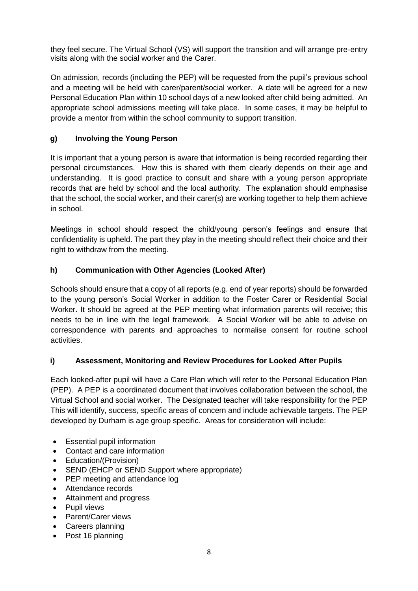they feel secure. The Virtual School (VS) will support the transition and will arrange pre-entry visits along with the social worker and the Carer.

On admission, records (including the PEP) will be requested from the pupil's previous school and a meeting will be held with carer/parent/social worker. A date will be agreed for a new Personal Education Plan within 10 school days of a new looked after child being admitted. An appropriate school admissions meeting will take place. In some cases, it may be helpful to provide a mentor from within the school community to support transition.

# **g) Involving the Young Person**

It is important that a young person is aware that information is being recorded regarding their personal circumstances. How this is shared with them clearly depends on their age and understanding. It is good practice to consult and share with a young person appropriate records that are held by school and the local authority. The explanation should emphasise that the school, the social worker, and their carer(s) are working together to help them achieve in school.

Meetings in school should respect the child/young person's feelings and ensure that confidentiality is upheld. The part they play in the meeting should reflect their choice and their right to withdraw from the meeting.

# **h) Communication with Other Agencies (Looked After)**

Schools should ensure that a copy of all reports (e.g. end of year reports) should be forwarded to the young person's Social Worker in addition to the Foster Carer or Residential Social Worker. It should be agreed at the PEP meeting what information parents will receive; this needs to be in line with the legal framework. A Social Worker will be able to advise on correspondence with parents and approaches to normalise consent for routine school activities.

## **i) Assessment, Monitoring and Review Procedures for Looked After Pupils**

Each looked-after pupil will have a Care Plan which will refer to the Personal Education Plan (PEP). A PEP is a coordinated document that involves collaboration between the school, the Virtual School and social worker. The Designated teacher will take responsibility for the PEP This will identify, success, specific areas of concern and include achievable targets. The PEP developed by Durham is age group specific. Areas for consideration will include:

- Essential pupil information
- Contact and care information
- Education/(Provision)
- SEND (EHCP or SEND Support where appropriate)
- PEP meeting and attendance log
- Attendance records
- Attainment and progress
- Pupil views
- Parent/Carer views
- Careers planning
- Post 16 planning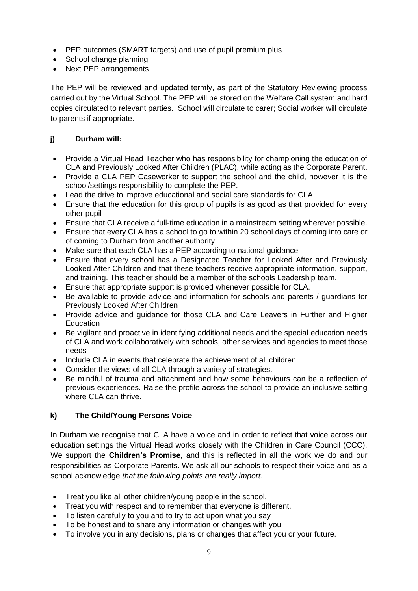- PEP outcomes (SMART targets) and use of pupil premium plus
- School change planning
- Next PEP arrangements

The PEP will be reviewed and updated termly, as part of the Statutory Reviewing process carried out by the Virtual School. The PEP will be stored on the Welfare Call system and hard copies circulated to relevant parties. School will circulate to carer; Social worker will circulate to parents if appropriate.

# **j) Durham will:**

- Provide a Virtual Head Teacher who has responsibility for championing the education of CLA and Previously Looked After Children (PLAC), while acting as the Corporate Parent.
- Provide a CLA PEP Caseworker to support the school and the child, however it is the school/settings responsibility to complete the PEP.
- Lead the drive to improve educational and social care standards for CLA
- Ensure that the education for this group of pupils is as good as that provided for every other pupil
- Ensure that CLA receive a full-time education in a mainstream setting wherever possible.
- Ensure that every CLA has a school to go to within 20 school days of coming into care or of coming to Durham from another authority
- Make sure that each CLA has a PEP according to national guidance
- Ensure that every school has a Designated Teacher for Looked After and Previously Looked After Children and that these teachers receive appropriate information, support, and training. This teacher should be a member of the schools Leadership team.
- Ensure that appropriate support is provided whenever possible for CLA.
- Be available to provide advice and information for schools and parents / guardians for Previously Looked After Children
- Provide advice and guidance for those CLA and Care Leavers in Further and Higher **Education**
- Be vigilant and proactive in identifying additional needs and the special education needs of CLA and work collaboratively with schools, other services and agencies to meet those needs
- Include CLA in events that celebrate the achievement of all children.
- Consider the views of all CLA through a variety of strategies.
- Be mindful of trauma and attachment and how some behaviours can be a reflection of previous experiences. Raise the profile across the school to provide an inclusive setting where CLA can thrive.

## **k) The Child/Young Persons Voice**

In Durham we recognise that CLA have a voice and in order to reflect that voice across our education settings the Virtual Head works closely with the Children in Care Council (CCC). We support the **Children's Promise,** and this is reflected in all the work we do and our responsibilities as Corporate Parents. We ask all our schools to respect their voice and as a school acknowledge *that the following points are really import.*

- Treat you like all other children/young people in the school.
- Treat you with respect and to remember that everyone is different.
- To listen carefully to you and to try to act upon what you say
- To be honest and to share any information or changes with you
- To involve you in any decisions, plans or changes that affect you or your future.